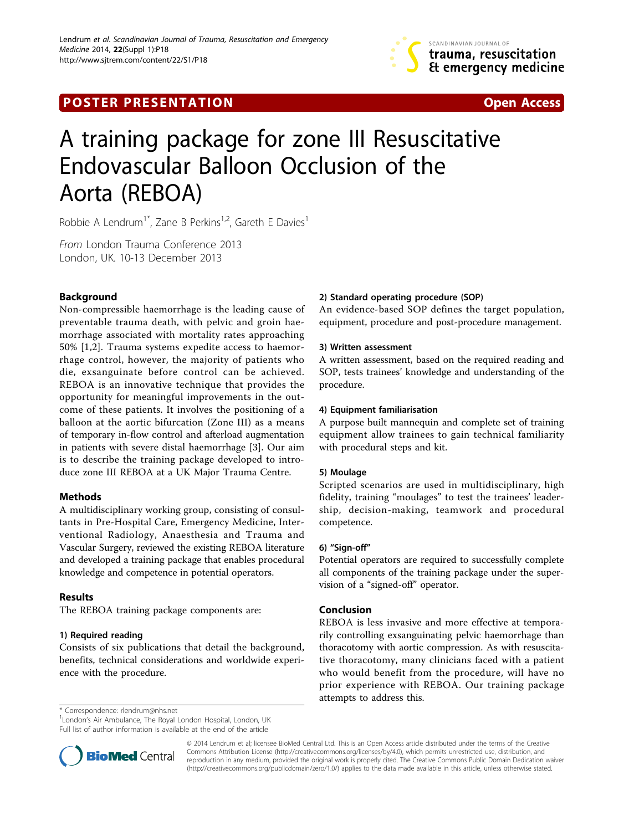

**POSTER PRESENTATION CONSUMING THE SECOND CONSUMING THE SECOND CONSUMING THE SECOND CONSUMING THE SECOND CONSUMING THE SECOND CONSUMING THE SECOND CONSUMING THE SECOND CONSUMING THE SECOND CONSUMING THE SECOND CONSUMING** 



# A training package for zone III Resuscitative Endovascular Balloon Occlusion of the Aorta (REBOA)

Robbie A Lendrum<sup>1\*</sup>, Zane B Perkins<sup>1,2</sup>, Gareth E Davies<sup>1</sup>

From London Trauma Conference 2013 London, UK. 10-13 December 2013

# Background

Non-compressible haemorrhage is the leading cause of preventable trauma death, with pelvic and groin haemorrhage associated with mortality rates approaching 50% [[1,2\]](#page-1-0). Trauma systems expedite access to haemorrhage control, however, the majority of patients who die, exsanguinate before control can be achieved. REBOA is an innovative technique that provides the opportunity for meaningful improvements in the outcome of these patients. It involves the positioning of a balloon at the aortic bifurcation (Zone III) as a means of temporary in-flow control and afterload augmentation in patients with severe distal haemorrhage [\[3](#page-1-0)]. Our aim is to describe the training package developed to introduce zone III REBOA at a UK Major Trauma Centre.

# Methods

A multidisciplinary working group, consisting of consultants in Pre-Hospital Care, Emergency Medicine, Interventional Radiology, Anaesthesia and Trauma and Vascular Surgery, reviewed the existing REBOA literature and developed a training package that enables procedural knowledge and competence in potential operators.

# Results

The REBOA training package components are:

# 1) Required reading

Consists of six publications that detail the background, benefits, technical considerations and worldwide experience with the procedure.

# 2) Standard operating procedure (SOP)

An evidence-based SOP defines the target population, equipment, procedure and post-procedure management.

#### 3) Written assessment

A written assessment, based on the required reading and SOP, tests trainees' knowledge and understanding of the procedure.

#### 4) Equipment familiarisation

A purpose built mannequin and complete set of training equipment allow trainees to gain technical familiarity with procedural steps and kit.

#### 5) Moulage

Scripted scenarios are used in multidisciplinary, high fidelity, training "moulages" to test the trainees' leadership, decision-making, teamwork and procedural competence.

#### 6) "Sign-off"

Potential operators are required to successfully complete all components of the training package under the supervision of a "signed-off" operator.

# Conclusion

REBOA is less invasive and more effective at temporarily controlling exsanguinating pelvic haemorrhage than thoracotomy with aortic compression. As with resuscitative thoracotomy, many clinicians faced with a patient who would benefit from the procedure, will have no prior experience with REBOA. Our training package attempts to address this.

\* Correspondence: [rlendrum@nhs.net](mailto:rlendrum@nhs.net)

<sup>1</sup> London's Air Ambulance, The Royal London Hospital, London, UK Full list of author information is available at the end of the article



© 2014 Lendrum et al; licensee BioMed Central Ltd. This is an Open Access article distributed under the terms of the Creative Commons Attribution License [\(http://creativecommons.org/licenses/by/4.0](http://creativecommons.org/licenses/by/4.0)), which permits unrestricted use, distribution, and reproduction in any medium, provided the original work is properly cited. The Creative Commons Public Domain Dedication waiver [\(http://creativecommons.org/publicdomain/zero/1.0/](http://creativecommons.org/publicdomain/zero/1.0/)) applies to the data made available in this article, unless otherwise stated.